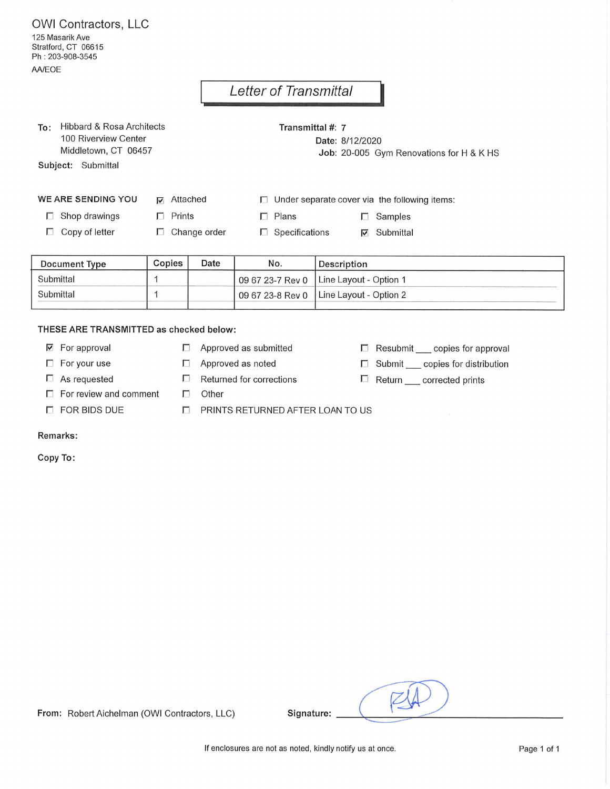OWI Contractors, LLC 125 Masarik Ave Stratford, CT 06615 Ph: 203-908-3545 AA/EOE

## Letter of Transmittal

To: Hibbard & Rosa Architects 100 Riverview Center Middletown, CT 06457

Subject: Submittal

Transmittal #: 7 Date: 8/12/2020

Job: 20-005 Gym Renovations for H & K HS

 $\Box$  Resubmit copies for approval

□ Submit \_\_ copies for distribution

 $\Box$  Return corrected prints

 $\Box$  Under separate cover via the following items:

 $\Box$  Shop drawings

**WE ARE SENDING YOU** 

 $\nabla$  Attached  $\Box$  Prints

 $\Box$  Samples

 $\nabla$  Submittal

 $\Box$  Plans  $\Box$  Change order  $\Box$  Specifications

 $\Box$  Copy of letter

| <b>Document Type</b> | Copies | Date | No. | Description                                     |
|----------------------|--------|------|-----|-------------------------------------------------|
| Submittal            |        |      |     | 09 67 23-7 Rev 0   Line Layout - Option 1       |
| Submittal            |        |      |     | 09 67 23-8 Rev 0 $\vert$ Line Layout - Option 2 |

## THESE ARE TRANSMITTED as checked below:

- $\nabla$  For approval
- $\Box$  For your use
- $\Box$  As requested
- $\Box$  For review and comment
- $\Box$  FOR BIDS DUE
- $\Box$  Approved as submitted
- Approved as noted  $\Box$
- $\Box$ Returned for corrections

 $\Box$ Other

PRINTS RETURNED AFTER LOAN TO US  $\Box$ 

## Remarks:

Copy To:

Signature:

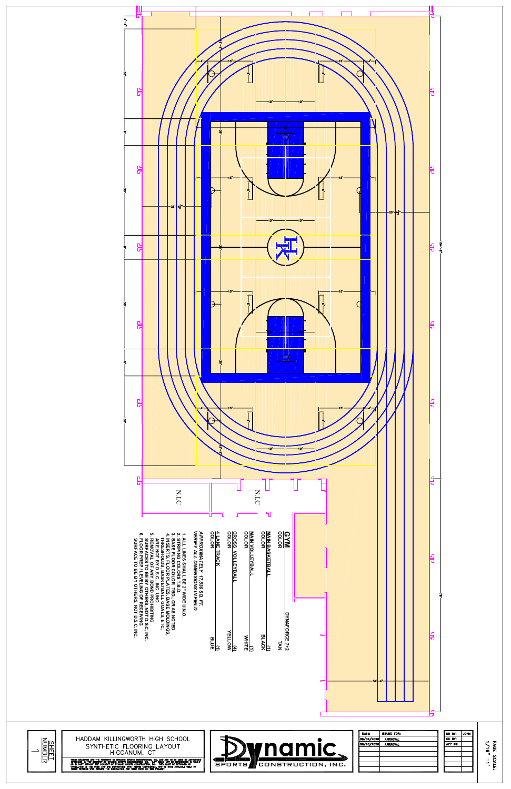

| 7,830 SQ. FT.<br>IONS IN FIELD<br>유<br>꾞<br>贝<br>₹₫<br><b>BO</b><br>BE 2" WIDE U.N.O.<br>\$ T.B.D.<br><b>NSC</b><br><b>OND PROHIBITING<br/>COTHERS, NOT D.S.C, INC.<br/>ING OF RECEIVING<br/>OTHERS, NOT D.S.C, INC.</b><br>ᇥ<br>š<br>), OR AS NOTED<br>, BASE MOLDINGS,<br>LL GOALS, ETC,                                                    | ┍<br>DYNAFORCE 7+2<br><b>FELLOW</b><br>定<br>$\frac{1}{WHHTE}$<br>$\frac{d}{dx}$ uE<br>$\frac{1}{26}$<br>TAN | ॼ<br>启                                                                                        |                                                                                          |
|-----------------------------------------------------------------------------------------------------------------------------------------------------------------------------------------------------------------------------------------------------------------------------------------------------------------------------------------------|-------------------------------------------------------------------------------------------------------------|-----------------------------------------------------------------------------------------------|------------------------------------------------------------------------------------------|
| HADDAM KILLINGWORTH HIGH SCHOOL<br><b>SHEET</b><br>NUMBER<br>SYNTHETIC FLOORING LAYOUT<br>HIGGANUM, CT<br>These discussions are the frontery of dynamic sports construction, we, are all asset to be used by authorized<br>Personal in the interest of dynamic sports construction will the same and the improduced in whole<br>Sea from with | <b>y</b> namic、<br>SPORTS<br>CONSTRUCTION, INC.                                                             | DATE:<br><b>ISSUED FOR:</b><br>08/04/2020<br><b>APPROVAL</b><br>08/10/2020<br><b>APPROVAL</b> | DR BY:<br><b>JOHN</b><br>CK BY:<br>PAGE :<br>APP BY:<br><b>SCALE:</b><br>$\frac{\pi}{2}$ |